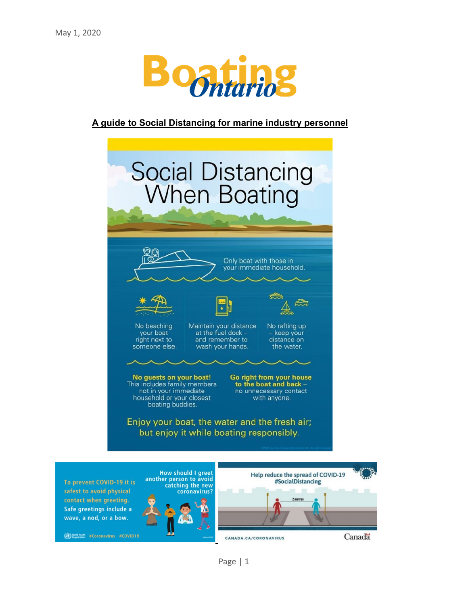

# **A guide to Social Distancing for marine industry personnel**



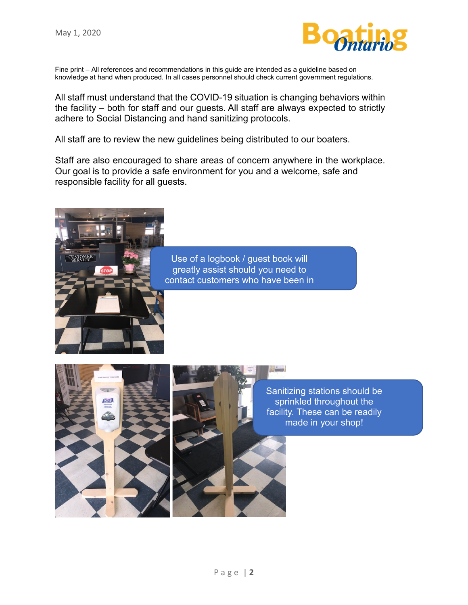**STOME** 



Fine print – All references and recommendations in this guide are intended as a guideline based on knowledge at hand when produced. In all cases personnel should check current government regulations.

All staff must understand that the COVID-19 situation is changing behaviors within the facility – both for staff and our guests. All staff are always expected to strictly adhere to Social Distancing and hand sanitizing protocols.

All staff are to review the new guidelines being distributed to our boaters.

Staff are also encouraged to share areas of concern anywhere in the workplace. Our goal is to provide a safe environment for you and a welcome, safe and responsible facility for all guests.







Sanitizing stations should be sprinkled throughout the facility. These can be readily made in your shop!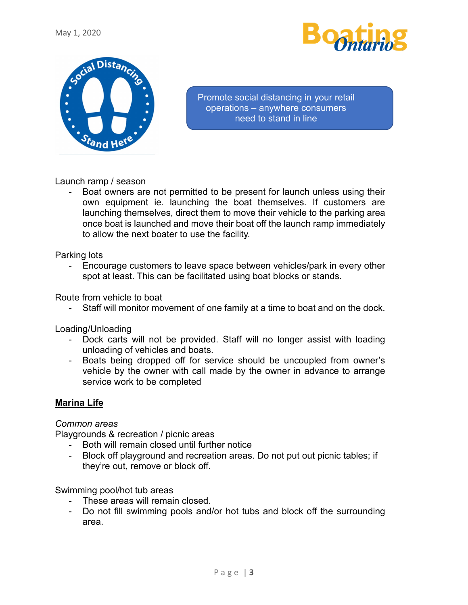



Promote social distancing in your retail operations – anywhere consumers need to stand in line

Launch ramp / season

Boat owners are not permitted to be present for launch unless using their own equipment ie. launching the boat themselves. If customers are launching themselves, direct them to move their vehicle to the parking area once boat is launched and move their boat off the launch ramp immediately to allow the next boater to use the facility.

Parking lots

- Encourage customers to leave space between vehicles/park in every other spot at least. This can be facilitated using boat blocks or stands.

Route from vehicle to boat

- Staff will monitor movement of one family at a time to boat and on the dock.

Loading/Unloading

- Dock carts will not be provided. Staff will no longer assist with loading unloading of vehicles and boats.
- Boats being dropped off for service should be uncoupled from owner's vehicle by the owner with call made by the owner in advance to arrange service work to be completed

## **Marina Life**

### *Common areas*

Playgrounds & recreation / picnic areas

- Both will remain closed until further notice
- Block off playground and recreation areas. Do not put out picnic tables; if they're out, remove or block off.

Swimming pool/hot tub areas

- These areas will remain closed.
- Do not fill swimming pools and/or hot tubs and block off the surrounding area.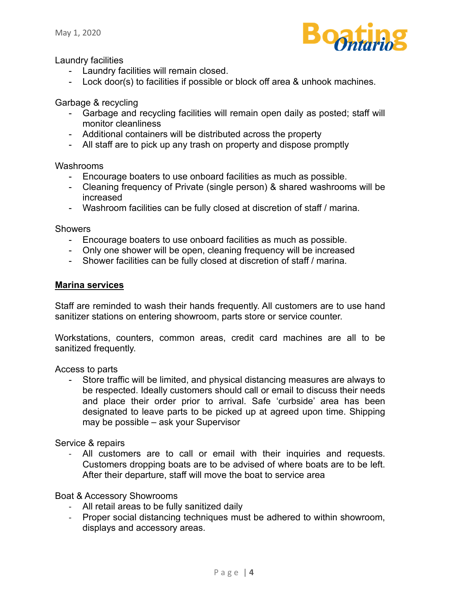

Laundry facilities

- Laundry facilities will remain closed.
- Lock door(s) to facilities if possible or block off area & unhook machines.

Garbage & recycling

- Garbage and recycling facilities will remain open daily as posted; staff will monitor cleanliness
- Additional containers will be distributed across the property
- All staff are to pick up any trash on property and dispose promptly

Washrooms

- Encourage boaters to use onboard facilities as much as possible.
- Cleaning frequency of Private (single person) & shared washrooms will be increased
- Washroom facilities can be fully closed at discretion of staff / marina.

**Showers** 

- Encourage boaters to use onboard facilities as much as possible.
- Only one shower will be open, cleaning frequency will be increased
- Shower facilities can be fully closed at discretion of staff / marina.

#### **Marina services**

Staff are reminded to wash their hands frequently. All customers are to use hand sanitizer stations on entering showroom, parts store or service counter.

Workstations, counters, common areas, credit card machines are all to be sanitized frequently.

Access to parts

- Store traffic will be limited, and physical distancing measures are always to be respected. Ideally customers should call or email to discuss their needs and place their order prior to arrival. Safe 'curbside' area has been designated to leave parts to be picked up at agreed upon time. Shipping may be possible – ask your Supervisor

Service & repairs

- All customers are to call or email with their inquiries and requests. Customers dropping boats are to be advised of where boats are to be left. After their departure, staff will move the boat to service area

#### Boat & Accessory Showrooms

- All retail areas to be fully sanitized daily
- Proper social distancing techniques must be adhered to within showroom, displays and accessory areas.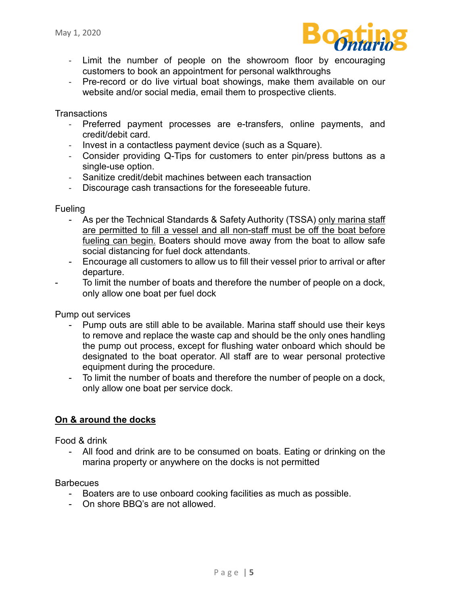

- Limit the number of people on the showroom floor by encouraging customers to book an appointment for personal walkthroughs
- Pre-record or do live virtual boat showings, make them available on our website and/or social media, email them to prospective clients.

**Transactions** 

- Preferred payment processes are e-transfers, online payments, and credit/debit card.
- Invest in a contactless payment device (such as a Square).
- Consider providing Q-Tips for customers to enter pin/press buttons as a single-use option.
- Sanitize credit/debit machines between each transaction
- Discourage cash transactions for the foreseeable future.

**Fueling** 

- As per the Technical Standards & Safety Authority (TSSA) only marina staff are permitted to fill a vessel and all non-staff must be off the boat before fueling can begin. Boaters should move away from the boat to allow safe social distancing for fuel dock attendants.
- Encourage all customers to allow us to fill their vessel prior to arrival or after departure.
- To limit the number of boats and therefore the number of people on a dock, only allow one boat per fuel dock

Pump out services

- Pump outs are still able to be available. Marina staff should use their keys to remove and replace the waste cap and should be the only ones handling the pump out process, except for flushing water onboard which should be designated to the boat operator. All staff are to wear personal protective equipment during the procedure.
- To limit the number of boats and therefore the number of people on a dock, only allow one boat per service dock.

### **On & around the docks**

Food & drink

- All food and drink are to be consumed on boats. Eating or drinking on the marina property or anywhere on the docks is not permitted

**Barbecues** 

- Boaters are to use onboard cooking facilities as much as possible.
- On shore BBQ's are not allowed.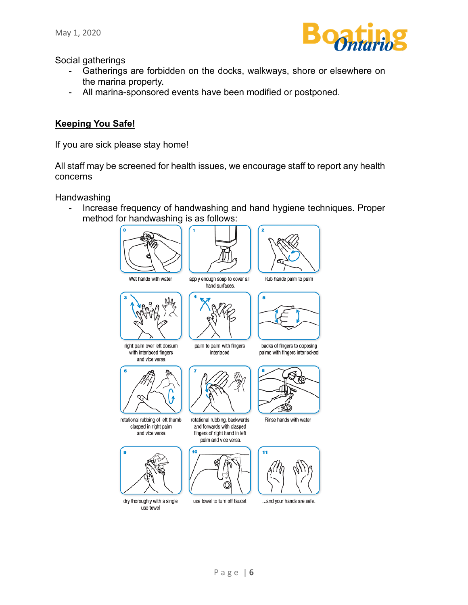

Social gatherings

- Gatherings are forbidden on the docks, walkways, shore or elsewhere on the marina property.
- All marina-sponsored events have been modified or postponed.

## **Keeping You Safe!**

If you are sick please stay home!

All staff may be screened for health issues, we encourage staff to report any health concerns

**Handwashing** 

- Increase frequency of handwashing and hand hygiene techniques. Proper method for handwashing is as follows: